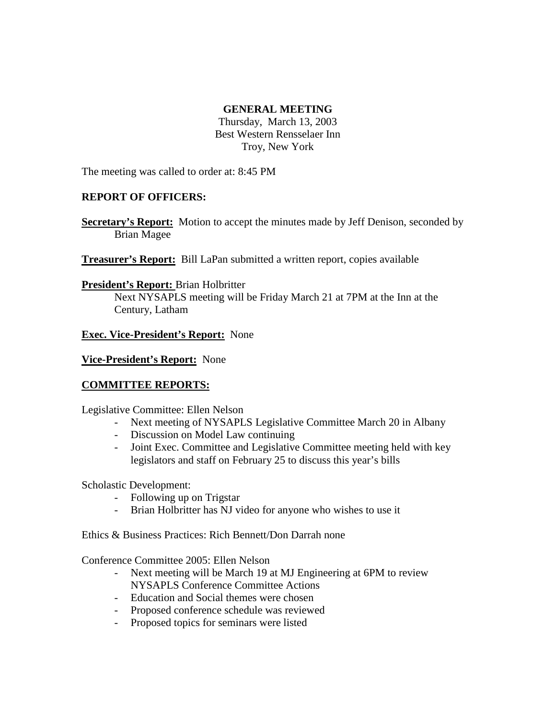### **GENERAL MEETING**

Thursday, March 13, 2003 Best Western Rensselaer Inn Troy, New York

The meeting was called to order at: 8:45 PM

# **REPORT OF OFFICERS:**

**Secretary's Report:** Motion to accept the minutes made by Jeff Denison, seconded by Brian Magee

**Treasurer's Report:** Bill LaPan submitted a written report, copies available

### **President's Report:** Brian Holbritter

Next NYSAPLS meeting will be Friday March 21 at 7PM at the Inn at the Century, Latham

### **Exec. Vice-President's Report:** None

#### **Vice-President's Report:** None

# **COMMITTEE REPORTS:**

Legislative Committee: Ellen Nelson

- Next meeting of NYSAPLS Legislative Committee March 20 in Albany
- Discussion on Model Law continuing
- Joint Exec. Committee and Legislative Committee meeting held with key legislators and staff on February 25 to discuss this year's bills

Scholastic Development:

- Following up on Trigstar
- Brian Holbritter has NJ video for anyone who wishes to use it

Ethics & Business Practices: Rich Bennett/Don Darrah none

Conference Committee 2005: Ellen Nelson

- Next meeting will be March 19 at MJ Engineering at 6PM to review NYSAPLS Conference Committee Actions
- Education and Social themes were chosen
- Proposed conference schedule was reviewed
- Proposed topics for seminars were listed